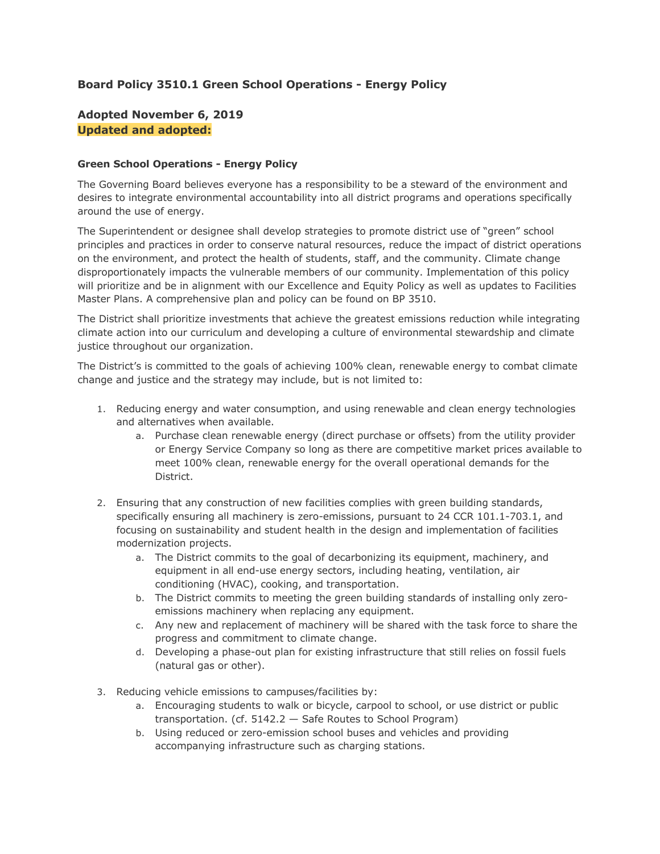# **Board Policy 3510.1 Green School Operations - Energy Policy**

# **Adopted November 6, 2019 Updated and adopted:**

### **Green School Operations - Energy Policy**

 desires to integrate environmental accountability into all district programs and operations specifically The Governing Board believes everyone has a responsibility to be a steward of the environment and around the use of energy.

 The Superintendent or designee shall develop strategies to promote district use of "green" school principles and practices in order to conserve natural resources, reduce the impact of district operations disproportionately impacts the vulnerable members of our community. Implementation of this policy will prioritize and be in alignment with our Excellence and Equity Policy as well as updates to Facilities Master Plans. A comprehensive plan and policy can be found on BP 3510. on the environment, and protect the health of students, staff, and the community. Climate change

 The District shall prioritize investments that achieve the greatest emissions reduction while integrating climate action into our curriculum and developing a culture of environmental stewardship and climate justice throughout our organization.

 The District's is committed to the goals of achieving 100% clean, renewable energy to combat climate change and justice and the strategy may include, but is not limited to:

- 1. Reducing energy and water consumption, and using renewable and clean energy technologies and alternatives when available.
	- a. Purchase clean renewable energy (direct purchase or offsets) from the utility provider or Energy Service Company so long as there are competitive market prices available to meet 100% clean, renewable energy for the overall operational demands for the District.
- 2. Ensuring that any construction of new facilities complies with green building standards, specifically ensuring all machinery is zero-emissions, pursuant to 24 CCR 101.1-703.1, and focusing on sustainability and student health in the design and implementation of facilities modernization projects.
	- a. The District commits to the goal of decarbonizing its equipment, machinery, and equipment in all end-use energy sectors, including heating, ventilation, air conditioning (HVAC), cooking, and transportation.
	- b. The District commits to meeting the green building standards of installing only zeroemissions machinery when replacing any equipment.
	- c. Any new and replacement of machinery will be shared with the task force to share the progress and commitment to climate change.
	- d. Developing a phase-out plan for existing infrastructure that still relies on fossil fuels (natural gas or other).
- 3. Reducing vehicle emissions to campuses/facilities by:
	- a. Encouraging students to walk or bicycle, carpool to school, or use district or public transportation. (cf. 5142.2 — Safe Routes to School Program)
	- b. Using reduced or zero-emission school buses and vehicles and providing accompanying infrastructure such as charging stations.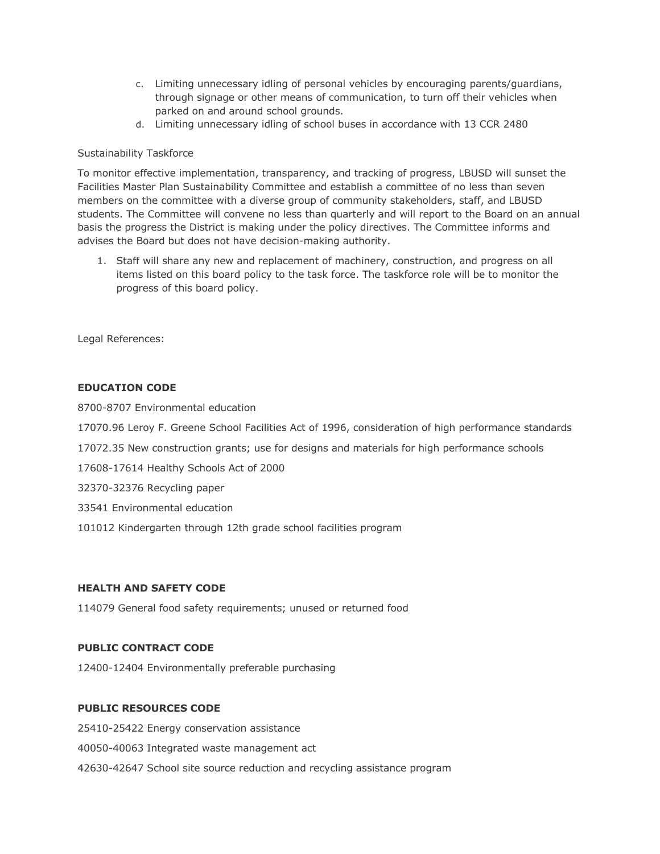- c. Limiting unnecessary idling of personal vehicles by encouraging parents/guardians, through signage or other means of communication, to turn off their vehicles when parked on and around school grounds.
- d. Limiting unnecessary idling of school buses in accordance with 13 CCR 2480

### Sustainability Taskforce

 To monitor effective implementation, transparency, and tracking of progress, LBUSD will sunset the Facilities Master Plan Sustainability Committee and establish a committee of no less than seven members on the committee with a diverse group of community stakeholders, staff, and LBUSD students. The Committee will convene no less than quarterly and will report to the Board on an annual basis the progress the District is making under the policy directives. The Committee informs and advises the Board but does not have decision-making authority.

 1. Staff will share any new and replacement of machinery, construction, and progress on all items listed on this board policy to the task force. The taskforce role will be to monitor the progress of this board policy.

Legal References:

## **EDUCATION CODE**

8700-8707 Environmental education

[17070.96](https://17070.96) Leroy F. Greene School Facilities Act of 1996, consideration of high performance standards

[17072.35](https://17072.35) New construction grants; use for designs and materials for high performance schools

17608-17614 Healthy Schools Act of 2000

32370-32376 Recycling paper

33541 Environmental education

101012 Kindergarten through 12th grade school facilities program

# **HEALTH AND SAFETY CODE**

114079 General food safety requirements; unused or returned food

## **PUBLIC CONTRACT CODE**

12400-12404 Environmentally preferable purchasing

## **PUBLIC RESOURCES CODE**

 42630-42647 School site source reduction and recycling assistance program 25410-25422 Energy conservation assistance 40050-40063 Integrated waste management act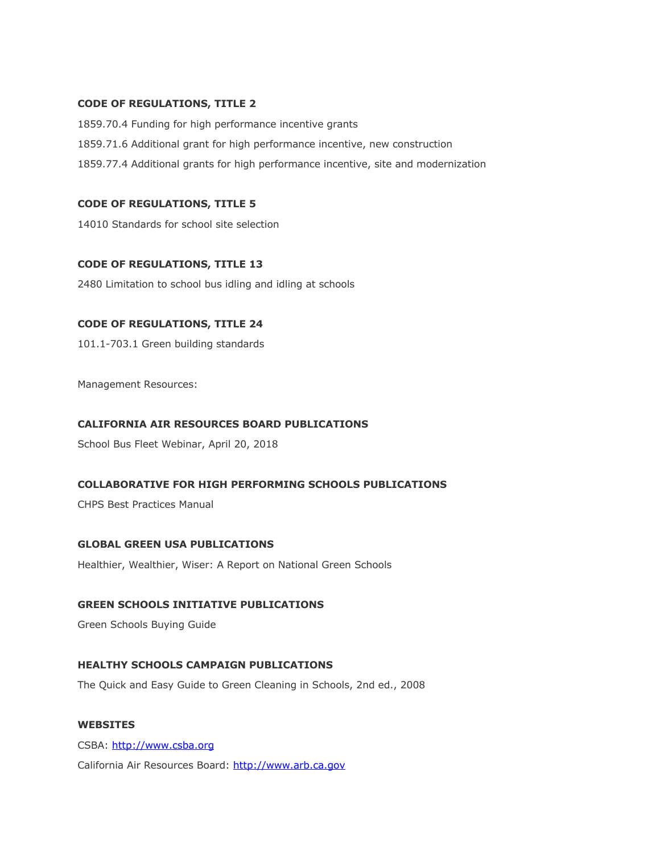#### **CODE OF REGULATIONS, TITLE 2**

 1859.70.4 Funding for high performance incentive grants 1859.71.6 Additional grant for high performance incentive, new construction 1859.77.4 Additional grants for high performance incentive, site and modernization

#### **CODE OF REGULATIONS, TITLE 5**

14010 Standards for school site selection

#### **CODE OF REGULATIONS, TITLE 13**

2480 Limitation to school bus idling and idling at schools

#### **CODE OF REGULATIONS, TITLE 24**

101.1-703.1 Green building standards

Management Resources:

#### **CALIFORNIA AIR RESOURCES BOARD PUBLICATIONS**

School Bus Fleet Webinar, April 20, 2018

### **COLLABORATIVE FOR HIGH PERFORMING SCHOOLS PUBLICATIONS**

CHPS Best Practices Manual

#### **GLOBAL GREEN USA PUBLICATIONS**

Healthier, Wealthier, Wiser: A Report on National Green Schools

# **GREEN SCHOOLS INITIATIVE PUBLICATIONS**

Green Schools Buying Guide

# **HEALTHY SCHOOLS CAMPAIGN PUBLICATIONS**

The Quick and Easy Guide to Green Cleaning in Schools, 2nd ed., 2008

# **WEBSITES**

California Air Resources Board:<http://www.arb.ca.gov> CSBA:<http://www.csba.org>